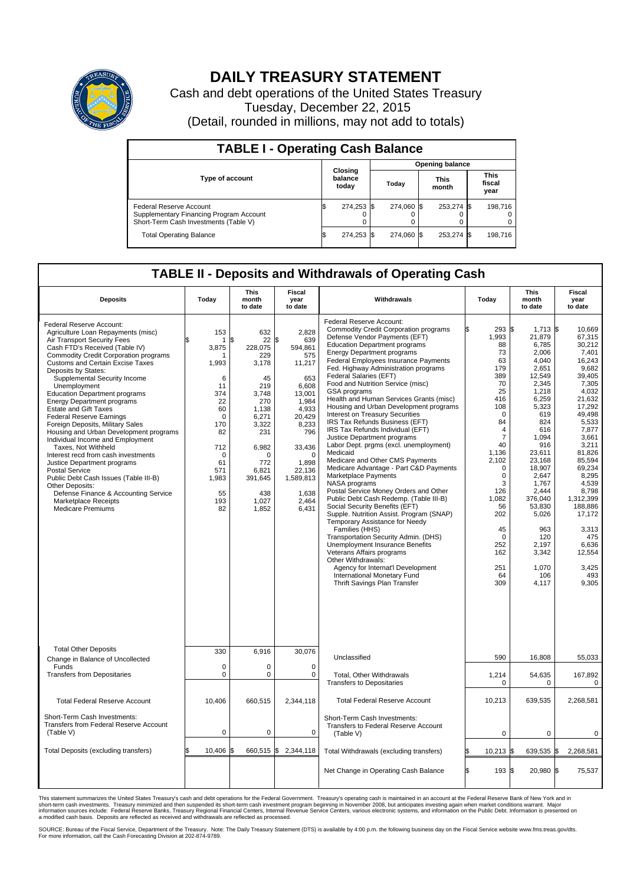

## **DAILY TREASURY STATEMENT**

Cash and debt operations of the United States Treasury Tuesday, December 22, 2015 (Detail, rounded in millions, may not add to totals)

| <b>TABLE I - Operating Cash Balance</b>                                                                     |                                    |            |                        |            |                      |            |  |                               |  |  |
|-------------------------------------------------------------------------------------------------------------|------------------------------------|------------|------------------------|------------|----------------------|------------|--|-------------------------------|--|--|
|                                                                                                             | <b>Closing</b><br>balance<br>today |            | <b>Opening balance</b> |            |                      |            |  |                               |  |  |
| Type of account                                                                                             |                                    |            | Today                  |            | <b>This</b><br>month |            |  | <b>This</b><br>fiscal<br>year |  |  |
| Federal Reserve Account<br>Supplementary Financing Program Account<br>Short-Term Cash Investments (Table V) |                                    | 274,253 \$ |                        | 274.060 \$ |                      | 253,274 \$ |  | 198.716                       |  |  |
| <b>Total Operating Balance</b>                                                                              | ß.                                 | 274,253 \$ |                        | 274.060 \$ |                      | 253,274 \$ |  | 198,716                       |  |  |

## **TABLE II - Deposits and Withdrawals of Operating Cash**

| <b>Deposits</b>                                                                                                                                                                                                                                                                                                                                                                                                                                                                                                                                                                                                                                                                                                                                                                                                                                   | Today                                                                                                                                               | <b>This</b><br>month<br>to date                                                                                                                                                    | <b>Fiscal</b><br>year<br>to date                                                                                                                                                                         | Withdrawals                                                                                                                                                                                                                                                                                                                                                                                                                                                                                                                                                                                                                                                                                                                                                                                                                                                                                                                                                                                                                                                                                                                                                                                                                         | Today                                                                                                                                                                                                                                                                   | <b>This</b><br>month<br>to date                                                                                                                                                                                                                                                             | <b>Fiscal</b><br>year<br>to date                                                                                                                                                                                                                                                                            |  |  |
|---------------------------------------------------------------------------------------------------------------------------------------------------------------------------------------------------------------------------------------------------------------------------------------------------------------------------------------------------------------------------------------------------------------------------------------------------------------------------------------------------------------------------------------------------------------------------------------------------------------------------------------------------------------------------------------------------------------------------------------------------------------------------------------------------------------------------------------------------|-----------------------------------------------------------------------------------------------------------------------------------------------------|------------------------------------------------------------------------------------------------------------------------------------------------------------------------------------|----------------------------------------------------------------------------------------------------------------------------------------------------------------------------------------------------------|-------------------------------------------------------------------------------------------------------------------------------------------------------------------------------------------------------------------------------------------------------------------------------------------------------------------------------------------------------------------------------------------------------------------------------------------------------------------------------------------------------------------------------------------------------------------------------------------------------------------------------------------------------------------------------------------------------------------------------------------------------------------------------------------------------------------------------------------------------------------------------------------------------------------------------------------------------------------------------------------------------------------------------------------------------------------------------------------------------------------------------------------------------------------------------------------------------------------------------------|-------------------------------------------------------------------------------------------------------------------------------------------------------------------------------------------------------------------------------------------------------------------------|---------------------------------------------------------------------------------------------------------------------------------------------------------------------------------------------------------------------------------------------------------------------------------------------|-------------------------------------------------------------------------------------------------------------------------------------------------------------------------------------------------------------------------------------------------------------------------------------------------------------|--|--|
| Federal Reserve Account:<br>Agriculture Loan Repayments (misc)<br>Air Transport Security Fees<br>Cash FTD's Received (Table IV)<br><b>Commodity Credit Corporation programs</b><br><b>Customs and Certain Excise Taxes</b><br>Deposits by States:<br>Supplemental Security Income<br>Unemployment<br><b>Education Department programs</b><br><b>Energy Department programs</b><br><b>Estate and Gift Taxes</b><br><b>Federal Reserve Earnings</b><br>Foreign Deposits, Military Sales<br>Housing and Urban Development programs<br>Individual Income and Employment<br>Taxes, Not Withheld<br>Interest recd from cash investments<br>Justice Department programs<br><b>Postal Service</b><br>Public Debt Cash Issues (Table III-B)<br>Other Deposits:<br>Defense Finance & Accounting Service<br><b>Marketplace Receipts</b><br>Medicare Premiums | 153<br>1<br>3,875<br>1,993<br>6<br>11<br>374<br>22<br>60<br>$\mathbf 0$<br>170<br>82<br>712<br>$\mathbf 0$<br>61<br>571<br>1,983<br>55<br>193<br>82 | 632<br>\$<br>22<br>228,075<br>229<br>3,178<br>45<br>219<br>3.748<br>270<br>1.138<br>6.271<br>3,322<br>231<br>6,982<br>$\Omega$<br>772<br>6,821<br>391,645<br>438<br>1,027<br>1,852 | 2,828<br>\$<br>639<br>594,861<br>575<br>11,217<br>653<br>6,608<br>13.001<br>1,984<br>4,933<br>20.429<br>8,233<br>796<br>33,436<br>$\mathbf 0$<br>1.898<br>22,136<br>1,589,813<br>1,638<br>2,464<br>6,431 | Federal Reserve Account:<br><b>Commodity Credit Corporation programs</b><br>Defense Vendor Payments (EFT)<br><b>Education Department programs</b><br><b>Energy Department programs</b><br>Federal Employees Insurance Payments<br>Fed. Highway Administration programs<br>Federal Salaries (EFT)<br>Food and Nutrition Service (misc)<br><b>GSA</b> programs<br>Health and Human Services Grants (misc)<br>Housing and Urban Development programs<br>Interest on Treasury Securities<br>IRS Tax Refunds Business (EFT)<br>IRS Tax Refunds Individual (EFT)<br>Justice Department programs<br>Labor Dept. prgms (excl. unemployment)<br>Medicaid<br>Medicare and Other CMS Payments<br>Medicare Advantage - Part C&D Payments<br>Marketplace Payments<br>NASA programs<br>Postal Service Money Orders and Other<br>Public Debt Cash Redemp. (Table III-B)<br>Social Security Benefits (EFT)<br>Supple. Nutrition Assist. Program (SNAP)<br>Temporary Assistance for Needy<br>Families (HHS)<br>Transportation Security Admin. (DHS)<br>Unemployment Insurance Benefits<br>Veterans Affairs programs<br>Other Withdrawals:<br>Agency for Internat'l Development<br>International Monetary Fund<br><b>Thrift Savings Plan Transfer</b> | 293 \$<br>1,993<br>88<br>73<br>63<br>179<br>389<br>70<br>25<br>416<br>108<br>$\mathbf 0$<br>84<br>$\overline{4}$<br>$\overline{7}$<br>40<br>1,136<br>2,102<br>$\mathbf 0$<br>0<br>3<br>126<br>1,082<br>56<br>202<br>45<br>$\mathbf 0$<br>252<br>162<br>251<br>64<br>309 | $1,713$ \$<br>21,879<br>6,785<br>2,006<br>4,040<br>2,651<br>12,549<br>2,345<br>1,218<br>6,259<br>5,323<br>619<br>824<br>616<br>1.094<br>916<br>23,611<br>23,168<br>18.907<br>2,647<br>1,767<br>2,444<br>376,040<br>53,830<br>5,026<br>963<br>120<br>2.197<br>3,342<br>1,070<br>106<br>4,117 | 10.669<br>67,315<br>30,212<br>7.401<br>16,243<br>9.682<br>39.405<br>7,305<br>4,032<br>21.632<br>17,292<br>49,498<br>5.533<br>7,877<br>3,661<br>3,211<br>81,826<br>85,594<br>69,234<br>8,295<br>4,539<br>8,798<br>1,312,399<br>188,886<br>17,172<br>3,313<br>475<br>6.636<br>12,554<br>3,425<br>493<br>9,305 |  |  |
| <b>Total Other Deposits</b>                                                                                                                                                                                                                                                                                                                                                                                                                                                                                                                                                                                                                                                                                                                                                                                                                       | 330                                                                                                                                                 | 6,916                                                                                                                                                                              | 30,076                                                                                                                                                                                                   |                                                                                                                                                                                                                                                                                                                                                                                                                                                                                                                                                                                                                                                                                                                                                                                                                                                                                                                                                                                                                                                                                                                                                                                                                                     |                                                                                                                                                                                                                                                                         |                                                                                                                                                                                                                                                                                             |                                                                                                                                                                                                                                                                                                             |  |  |
| Change in Balance of Uncollected<br>Funds                                                                                                                                                                                                                                                                                                                                                                                                                                                                                                                                                                                                                                                                                                                                                                                                         | $\mathbf 0$                                                                                                                                         | 0                                                                                                                                                                                  | $\Omega$                                                                                                                                                                                                 | Unclassified                                                                                                                                                                                                                                                                                                                                                                                                                                                                                                                                                                                                                                                                                                                                                                                                                                                                                                                                                                                                                                                                                                                                                                                                                        | 590                                                                                                                                                                                                                                                                     | 16,808                                                                                                                                                                                                                                                                                      | 55,033                                                                                                                                                                                                                                                                                                      |  |  |
| <b>Transfers from Depositaries</b>                                                                                                                                                                                                                                                                                                                                                                                                                                                                                                                                                                                                                                                                                                                                                                                                                | $\mathbf 0$                                                                                                                                         | 0                                                                                                                                                                                  | 0                                                                                                                                                                                                        | Total, Other Withdrawals<br><b>Transfers to Depositaries</b>                                                                                                                                                                                                                                                                                                                                                                                                                                                                                                                                                                                                                                                                                                                                                                                                                                                                                                                                                                                                                                                                                                                                                                        | 1,214<br>$\mathbf 0$                                                                                                                                                                                                                                                    | 54,635<br>0                                                                                                                                                                                                                                                                                 | 167,892<br>0                                                                                                                                                                                                                                                                                                |  |  |
| <b>Total Federal Reserve Account</b>                                                                                                                                                                                                                                                                                                                                                                                                                                                                                                                                                                                                                                                                                                                                                                                                              | 10,406                                                                                                                                              | 660,515                                                                                                                                                                            | 2,344,118                                                                                                                                                                                                | <b>Total Federal Reserve Account</b>                                                                                                                                                                                                                                                                                                                                                                                                                                                                                                                                                                                                                                                                                                                                                                                                                                                                                                                                                                                                                                                                                                                                                                                                | 10,213                                                                                                                                                                                                                                                                  | 639,535                                                                                                                                                                                                                                                                                     | 2,268,581                                                                                                                                                                                                                                                                                                   |  |  |
| Short-Term Cash Investments:<br>Transfers from Federal Reserve Account<br>(Table V)                                                                                                                                                                                                                                                                                                                                                                                                                                                                                                                                                                                                                                                                                                                                                               | $\mathbf 0$                                                                                                                                         | 0                                                                                                                                                                                  | 0                                                                                                                                                                                                        | Short-Term Cash Investments:<br>Transfers to Federal Reserve Account<br>(Table V)                                                                                                                                                                                                                                                                                                                                                                                                                                                                                                                                                                                                                                                                                                                                                                                                                                                                                                                                                                                                                                                                                                                                                   | 0                                                                                                                                                                                                                                                                       | 0                                                                                                                                                                                                                                                                                           | 0                                                                                                                                                                                                                                                                                                           |  |  |
| Total Deposits (excluding transfers)                                                                                                                                                                                                                                                                                                                                                                                                                                                                                                                                                                                                                                                                                                                                                                                                              | 10,406<br>\$                                                                                                                                        | ß.                                                                                                                                                                                 | 660,515 \$ 2,344,118                                                                                                                                                                                     | Total Withdrawals (excluding transfers)                                                                                                                                                                                                                                                                                                                                                                                                                                                                                                                                                                                                                                                                                                                                                                                                                                                                                                                                                                                                                                                                                                                                                                                             | $10,213$ \$                                                                                                                                                                                                                                                             | 639,535 \$                                                                                                                                                                                                                                                                                  | 2,268,581                                                                                                                                                                                                                                                                                                   |  |  |
|                                                                                                                                                                                                                                                                                                                                                                                                                                                                                                                                                                                                                                                                                                                                                                                                                                                   |                                                                                                                                                     |                                                                                                                                                                                    |                                                                                                                                                                                                          | Net Change in Operating Cash Balance                                                                                                                                                                                                                                                                                                                                                                                                                                                                                                                                                                                                                                                                                                                                                                                                                                                                                                                                                                                                                                                                                                                                                                                                | l\$<br>193 \$                                                                                                                                                                                                                                                           | 20,980 \$                                                                                                                                                                                                                                                                                   | 75,537                                                                                                                                                                                                                                                                                                      |  |  |

This statement summarizes the United States Treasury's cash and debt operations for the Federal Government. Treasury's operating cash is maintained in an account at the Federal Reserve Bank of New York and in<br>short-term ca

SOURCE: Bureau of the Fiscal Service, Department of the Treasury. Note: The Daily Treasury Statement (DTS) is available by 4:00 p.m. the following business day on the Fiscal Service website www.fms.treas.gov/dts.<br>For more